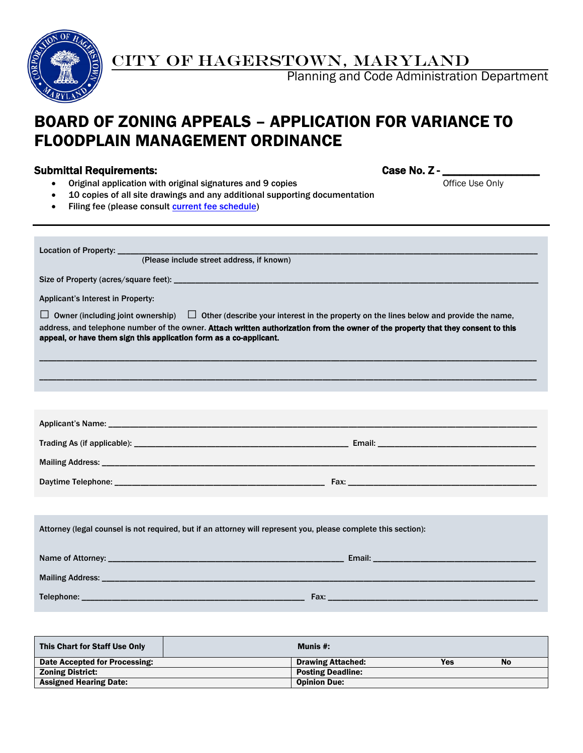

CITY OF HAGERSTOWN, MARYLAND

Planning and Code Administration Department

# BOARD OF ZONING APPEALS – APPLICATION FOR VARIANCE TO FLOODPLAIN MANAGEMENT ORDINANCE

## Submittal Requirements:

| Case No. Z - |  |  |  |
|--------------|--|--|--|
|--------------|--|--|--|

- Original application with original signatures and 9 copies **Office Use Only** Office Use Only
- 10 copies of all site drawings and any additional supporting documentation
- Filing fee (please consult [current fee schedule\)](http://www.hagerstownmd.org/DocumentCenter/View/384)

| Location of Property: ____________<br>(Please include street address, if known)                                                                                                                                                                                                                                                                    |  |  |  |  |
|----------------------------------------------------------------------------------------------------------------------------------------------------------------------------------------------------------------------------------------------------------------------------------------------------------------------------------------------------|--|--|--|--|
|                                                                                                                                                                                                                                                                                                                                                    |  |  |  |  |
| Applicant's Interest in Property:                                                                                                                                                                                                                                                                                                                  |  |  |  |  |
| $\Box$ Other (describe your interest in the property on the lines below and provide the name,<br>Owner (including joint ownership)<br>⊔<br>address, and telephone number of the owner. Attach written authorization from the owner of the property that they consent to this<br>appeal, or have them sign this application form as a co-applicant. |  |  |  |  |
|                                                                                                                                                                                                                                                                                                                                                    |  |  |  |  |
|                                                                                                                                                                                                                                                                                                                                                    |  |  |  |  |
|                                                                                                                                                                                                                                                                                                                                                    |  |  |  |  |
|                                                                                                                                                                                                                                                                                                                                                    |  |  |  |  |
|                                                                                                                                                                                                                                                                                                                                                    |  |  |  |  |
|                                                                                                                                                                                                                                                                                                                                                    |  |  |  |  |
|                                                                                                                                                                                                                                                                                                                                                    |  |  |  |  |
| Attorney (legal counsel is not required, but if an attorney will represent you, please complete this section):                                                                                                                                                                                                                                     |  |  |  |  |
|                                                                                                                                                                                                                                                                                                                                                    |  |  |  |  |
|                                                                                                                                                                                                                                                                                                                                                    |  |  |  |  |
|                                                                                                                                                                                                                                                                                                                                                    |  |  |  |  |

| This Chart for Staff Use Only | Munis $#$ :              |     |           |
|-------------------------------|--------------------------|-----|-----------|
| Date Accepted for Processing: | <b>Drawing Attached:</b> | Yes | <b>No</b> |
| <b>Zoning District:</b>       | <b>Posting Deadline:</b> |     |           |
| <b>Assigned Hearing Date:</b> | <b>Opinion Due:</b>      |     |           |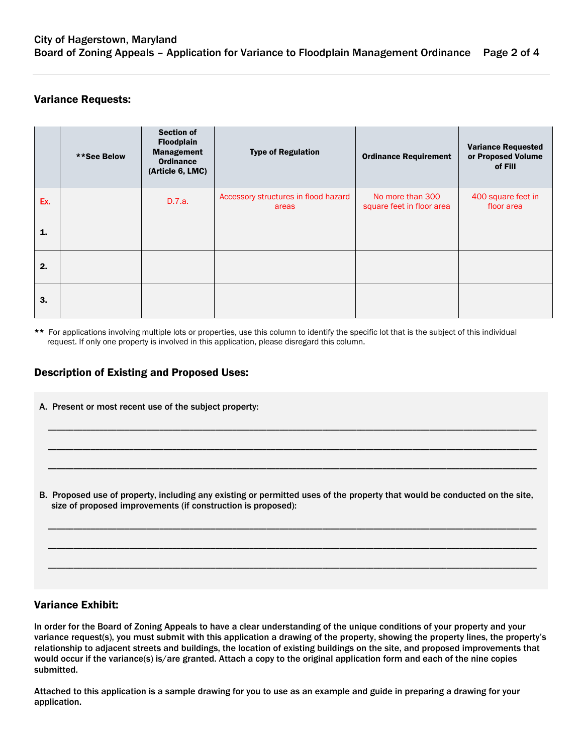## Variance Requests:

|     | **See Below | <b>Section of</b><br><b>Floodplain</b><br><b>Management</b><br><b>Ordinance</b><br>(Article 6, LMC) | <b>Type of Regulation</b>                     | <b>Ordinance Requirement</b>                  | <b>Variance Requested</b><br>or Proposed Volume<br>of Fill |
|-----|-------------|-----------------------------------------------------------------------------------------------------|-----------------------------------------------|-----------------------------------------------|------------------------------------------------------------|
| Ex. |             | D.7.a.                                                                                              | Accessory structures in flood hazard<br>areas | No more than 300<br>square feet in floor area | 400 square feet in<br>floor area                           |
| 1.  |             |                                                                                                     |                                               |                                               |                                                            |
| 2.  |             |                                                                                                     |                                               |                                               |                                                            |
| 3.  |             |                                                                                                     |                                               |                                               |                                                            |

\*\* For applications involving multiple lots or properties, use this column to identify the specific lot that is the subject of this individual request. If only one property is involved in this application, please disregard this column.

## Description of Existing and Proposed Uses:

A. Present or most recent use of the subject property:

B. Proposed use of property, including any existing or permitted uses of the property that would be conducted on the site, size of proposed improvements (if construction is proposed):

\_\_\_\_\_\_\_\_\_\_\_\_\_\_\_\_\_\_\_\_\_\_\_\_\_\_\_\_\_\_\_\_\_\_\_\_\_\_\_\_\_\_\_\_\_\_\_\_\_\_\_\_\_\_\_\_\_\_\_\_\_\_\_\_\_\_\_\_\_\_\_\_\_\_\_\_\_\_\_\_\_\_\_\_\_\_\_\_\_\_\_\_\_\_\_\_\_\_\_\_\_\_\_\_\_\_\_\_\_\_\_\_\_\_

\_\_\_\_\_\_\_\_\_\_\_\_\_\_\_\_\_\_\_\_\_\_\_\_\_\_\_\_\_\_\_\_\_\_\_\_\_\_\_\_\_\_\_\_\_\_\_\_\_\_\_\_\_\_\_\_\_\_\_\_\_\_\_\_\_\_\_\_\_\_\_\_\_\_\_\_\_\_\_\_\_\_\_\_\_\_\_\_\_\_\_\_\_\_\_\_\_\_\_\_\_\_\_\_\_\_\_\_\_\_\_\_\_\_

\_\_\_\_\_\_\_\_\_\_\_\_\_\_\_\_\_\_\_\_\_\_\_\_\_\_\_\_\_\_\_\_\_\_\_\_\_\_\_\_\_\_\_\_\_\_\_\_\_\_\_\_\_\_\_\_\_\_\_\_\_\_\_\_\_\_\_\_\_\_\_\_\_\_\_\_\_\_\_\_\_\_\_\_\_\_\_\_\_\_\_\_\_\_\_\_\_\_\_\_\_\_\_\_\_\_\_\_\_\_\_\_\_\_

\_\_\_\_\_\_\_\_\_\_\_\_\_\_\_\_\_\_\_\_\_\_\_\_\_\_\_\_\_\_\_\_\_\_\_\_\_\_\_\_\_\_\_\_\_\_\_\_\_\_\_\_\_\_\_\_\_\_\_\_\_\_\_\_\_\_\_\_\_\_\_\_\_\_\_\_\_\_\_\_\_\_\_\_\_\_\_\_\_\_\_\_\_\_\_\_\_\_\_\_\_\_\_\_\_\_\_\_\_\_\_\_\_\_

\_\_\_\_\_\_\_\_\_\_\_\_\_\_\_\_\_\_\_\_\_\_\_\_\_\_\_\_\_\_\_\_\_\_\_\_\_\_\_\_\_\_\_\_\_\_\_\_\_\_\_\_\_\_\_\_\_\_\_\_\_\_\_\_\_\_\_\_\_\_\_\_\_\_\_\_\_\_\_\_\_\_\_\_\_\_\_\_\_\_\_\_\_\_\_\_\_\_\_\_\_\_\_\_\_\_\_\_\_\_\_\_\_\_

\_\_\_\_\_\_\_\_\_\_\_\_\_\_\_\_\_\_\_\_\_\_\_\_\_\_\_\_\_\_\_\_\_\_\_\_\_\_\_\_\_\_\_\_\_\_\_\_\_\_\_\_\_\_\_\_\_\_\_\_\_\_\_\_\_\_\_\_\_\_\_\_\_\_\_\_\_\_\_\_\_\_\_\_\_\_\_\_\_\_\_\_\_\_\_\_\_\_\_\_\_\_\_\_\_\_\_\_\_\_\_\_\_\_

#### Variance Exhibit:

In order for the Board of Zoning Appeals to have a clear understanding of the unique conditions of your property and your variance request(s), you must submit with this application a drawing of the property, showing the property lines, the property's relationship to adjacent streets and buildings, the location of existing buildings on the site, and proposed improvements that would occur if the variance(s) is/are granted. Attach a copy to the original application form and each of the nine copies submitted.

Attached to this application is a sample drawing for you to use as an example and guide in preparing a drawing for your application.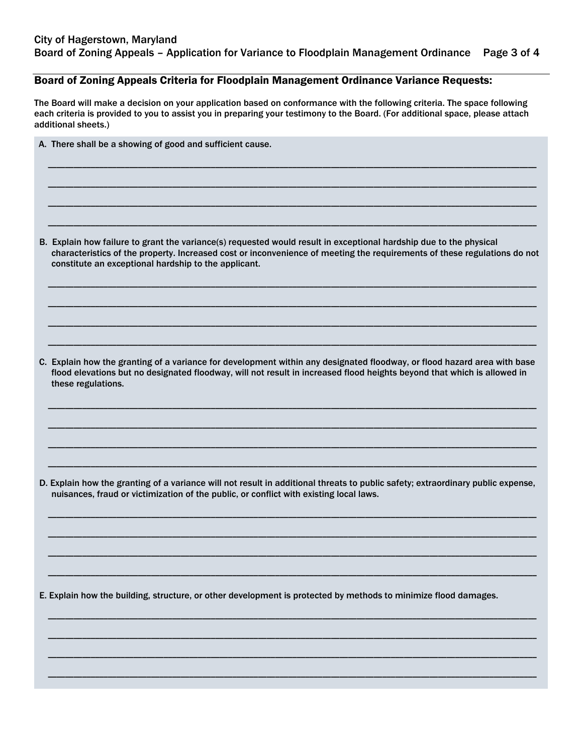#### Board of Zoning Appeals Criteria for Floodplain Management Ordinance Variance Requests:

The Board will make a decision on your application based on conformance with the following criteria. The space following each criteria is provided to you to assist you in preparing your testimony to the Board. (For additional space, please attach additional sheets.)

\_\_\_\_\_\_\_\_\_\_\_\_\_\_\_\_\_\_\_\_\_\_\_\_\_\_\_\_\_\_\_\_\_\_\_\_\_\_\_\_\_\_\_\_\_\_\_\_\_\_\_\_\_\_\_\_\_\_\_\_\_\_\_\_\_\_\_\_\_\_\_\_\_\_\_\_\_\_\_\_\_\_\_\_\_\_\_\_\_\_\_\_\_\_\_\_\_\_\_\_\_\_\_\_\_\_\_\_\_\_\_\_\_\_

\_\_\_\_\_\_\_\_\_\_\_\_\_\_\_\_\_\_\_\_\_\_\_\_\_\_\_\_\_\_\_\_\_\_\_\_\_\_\_\_\_\_\_\_\_\_\_\_\_\_\_\_\_\_\_\_\_\_\_\_\_\_\_\_\_\_\_\_\_\_\_\_\_\_\_\_\_\_\_\_\_\_\_\_\_\_\_\_\_\_\_\_\_\_\_\_\_\_\_\_\_\_\_\_\_\_\_\_\_\_\_\_\_\_

\_\_\_\_\_\_\_\_\_\_\_\_\_\_\_\_\_\_\_\_\_\_\_\_\_\_\_\_\_\_\_\_\_\_\_\_\_\_\_\_\_\_\_\_\_\_\_\_\_\_\_\_\_\_\_\_\_\_\_\_\_\_\_\_\_\_\_\_\_\_\_\_\_\_\_\_\_\_\_\_\_\_\_\_\_\_\_\_\_\_\_\_\_\_\_\_\_\_\_\_\_\_\_\_\_\_\_\_\_\_\_\_\_\_

\_\_\_\_\_\_\_\_\_\_\_\_\_\_\_\_\_\_\_\_\_\_\_\_\_\_\_\_\_\_\_\_\_\_\_\_\_\_\_\_\_\_\_\_\_\_\_\_\_\_\_\_\_\_\_\_\_\_\_\_\_\_\_\_\_\_\_\_\_\_\_\_\_\_\_\_\_\_\_\_\_\_\_\_\_\_\_\_\_\_\_\_\_\_\_\_\_\_\_\_\_\_\_\_\_\_\_\_\_\_\_\_\_\_

A. There shall be a showing of good and sufficient cause.

B. Explain how failure to grant the variance(s) requested would result in exceptional hardship due to the physical characteristics of the property. Increased cost or inconvenience of meeting the requirements of these regulations do not constitute an exceptional hardship to the applicant.

\_\_\_\_\_\_\_\_\_\_\_\_\_\_\_\_\_\_\_\_\_\_\_\_\_\_\_\_\_\_\_\_\_\_\_\_\_\_\_\_\_\_\_\_\_\_\_\_\_\_\_\_\_\_\_\_\_\_\_\_\_\_\_\_\_\_\_\_\_\_\_\_\_\_\_\_\_\_\_\_\_\_\_\_\_\_\_\_\_\_\_\_\_\_\_\_\_\_\_\_\_\_\_\_\_\_\_\_\_\_\_\_\_\_

\_\_\_\_\_\_\_\_\_\_\_\_\_\_\_\_\_\_\_\_\_\_\_\_\_\_\_\_\_\_\_\_\_\_\_\_\_\_\_\_\_\_\_\_\_\_\_\_\_\_\_\_\_\_\_\_\_\_\_\_\_\_\_\_\_\_\_\_\_\_\_\_\_\_\_\_\_\_\_\_\_\_\_\_\_\_\_\_\_\_\_\_\_\_\_\_\_\_\_\_\_\_\_\_\_\_\_\_\_\_\_\_\_\_

\_\_\_\_\_\_\_\_\_\_\_\_\_\_\_\_\_\_\_\_\_\_\_\_\_\_\_\_\_\_\_\_\_\_\_\_\_\_\_\_\_\_\_\_\_\_\_\_\_\_\_\_\_\_\_\_\_\_\_\_\_\_\_\_\_\_\_\_\_\_\_\_\_\_\_\_\_\_\_\_\_\_\_\_\_\_\_\_\_\_\_\_\_\_\_\_\_\_\_\_\_\_\_\_\_\_\_\_\_\_\_\_\_\_

\_\_\_\_\_\_\_\_\_\_\_\_\_\_\_\_\_\_\_\_\_\_\_\_\_\_\_\_\_\_\_\_\_\_\_\_\_\_\_\_\_\_\_\_\_\_\_\_\_\_\_\_\_\_\_\_\_\_\_\_\_\_\_\_\_\_\_\_\_\_\_\_\_\_\_\_\_\_\_\_\_\_\_\_\_\_\_\_\_\_\_\_\_\_\_\_\_\_\_\_\_\_\_\_\_\_\_\_\_\_\_\_\_\_

C. Explain how the granting of a variance for development within any designated floodway, or flood hazard area with base flood elevations but no designated floodway, will not result in increased flood heights beyond that which is allowed in these regulations.

\_\_\_\_\_\_\_\_\_\_\_\_\_\_\_\_\_\_\_\_\_\_\_\_\_\_\_\_\_\_\_\_\_\_\_\_\_\_\_\_\_\_\_\_\_\_\_\_\_\_\_\_\_\_\_\_\_\_\_\_\_\_\_\_\_\_\_\_\_\_\_\_\_\_\_\_\_\_\_\_\_\_\_\_\_\_\_\_\_\_\_\_\_\_\_\_\_\_\_\_\_\_\_\_\_\_\_\_\_\_\_\_\_\_

\_\_\_\_\_\_\_\_\_\_\_\_\_\_\_\_\_\_\_\_\_\_\_\_\_\_\_\_\_\_\_\_\_\_\_\_\_\_\_\_\_\_\_\_\_\_\_\_\_\_\_\_\_\_\_\_\_\_\_\_\_\_\_\_\_\_\_\_\_\_\_\_\_\_\_\_\_\_\_\_\_\_\_\_\_\_\_\_\_\_\_\_\_\_\_\_\_\_\_\_\_\_\_\_\_\_\_\_\_\_\_\_\_\_

\_\_\_\_\_\_\_\_\_\_\_\_\_\_\_\_\_\_\_\_\_\_\_\_\_\_\_\_\_\_\_\_\_\_\_\_\_\_\_\_\_\_\_\_\_\_\_\_\_\_\_\_\_\_\_\_\_\_\_\_\_\_\_\_\_\_\_\_\_\_\_\_\_\_\_\_\_\_\_\_\_\_\_\_\_\_\_\_\_\_\_\_\_\_\_\_\_\_\_\_\_\_\_\_\_\_\_\_\_\_\_\_\_\_

\_\_\_\_\_\_\_\_\_\_\_\_\_\_\_\_\_\_\_\_\_\_\_\_\_\_\_\_\_\_\_\_\_\_\_\_\_\_\_\_\_\_\_\_\_\_\_\_\_\_\_\_\_\_\_\_\_\_\_\_\_\_\_\_\_\_\_\_\_\_\_\_\_\_\_\_\_\_\_\_\_\_\_\_\_\_\_\_\_\_\_\_\_\_\_\_\_\_\_\_\_\_\_\_\_\_\_\_\_\_\_\_\_\_

D. Explain how the granting of a variance will not result in additional threats to public safety; extraordinary public expense, nuisances, fraud or victimization of the public, or conflict with existing local laws.

\_\_\_\_\_\_\_\_\_\_\_\_\_\_\_\_\_\_\_\_\_\_\_\_\_\_\_\_\_\_\_\_\_\_\_\_\_\_\_\_\_\_\_\_\_\_\_\_\_\_\_\_\_\_\_\_\_\_\_\_\_\_\_\_\_\_\_\_\_\_\_\_\_\_\_\_\_\_\_\_\_\_\_\_\_\_\_\_\_\_\_\_\_\_\_\_\_\_\_\_\_\_\_\_\_\_\_\_\_\_\_\_\_\_

\_\_\_\_\_\_\_\_\_\_\_\_\_\_\_\_\_\_\_\_\_\_\_\_\_\_\_\_\_\_\_\_\_\_\_\_\_\_\_\_\_\_\_\_\_\_\_\_\_\_\_\_\_\_\_\_\_\_\_\_\_\_\_\_\_\_\_\_\_\_\_\_\_\_\_\_\_\_\_\_\_\_\_\_\_\_\_\_\_\_\_\_\_\_\_\_\_\_\_\_\_\_\_\_\_\_\_\_\_\_\_\_\_\_

\_\_\_\_\_\_\_\_\_\_\_\_\_\_\_\_\_\_\_\_\_\_\_\_\_\_\_\_\_\_\_\_\_\_\_\_\_\_\_\_\_\_\_\_\_\_\_\_\_\_\_\_\_\_\_\_\_\_\_\_\_\_\_\_\_\_\_\_\_\_\_\_\_\_\_\_\_\_\_\_\_\_\_\_\_\_\_\_\_\_\_\_\_\_\_\_\_\_\_\_\_\_\_\_\_\_\_\_\_\_\_\_\_\_

\_\_\_\_\_\_\_\_\_\_\_\_\_\_\_\_\_\_\_\_\_\_\_\_\_\_\_\_\_\_\_\_\_\_\_\_\_\_\_\_\_\_\_\_\_\_\_\_\_\_\_\_\_\_\_\_\_\_\_\_\_\_\_\_\_\_\_\_\_\_\_\_\_\_\_\_\_\_\_\_\_\_\_\_\_\_\_\_\_\_\_\_\_\_\_\_\_\_\_\_\_\_\_\_\_\_\_\_\_\_\_\_\_\_

\_\_\_\_\_\_\_\_\_\_\_\_\_\_\_\_\_\_\_\_\_\_\_\_\_\_\_\_\_\_\_\_\_\_\_\_\_\_\_\_\_\_\_\_\_\_\_\_\_\_\_\_\_\_\_\_\_\_\_\_\_\_\_\_\_\_\_\_\_\_\_\_\_\_\_\_\_\_\_\_\_\_\_\_\_\_\_\_\_\_\_\_\_\_\_\_\_\_\_\_\_\_\_\_\_\_\_\_\_\_\_\_\_\_

\_\_\_\_\_\_\_\_\_\_\_\_\_\_\_\_\_\_\_\_\_\_\_\_\_\_\_\_\_\_\_\_\_\_\_\_\_\_\_\_\_\_\_\_\_\_\_\_\_\_\_\_\_\_\_\_\_\_\_\_\_\_\_\_\_\_\_\_\_\_\_\_\_\_\_\_\_\_\_\_\_\_\_\_\_\_\_\_\_\_\_\_\_\_\_\_\_\_\_\_\_\_\_\_\_\_\_\_\_\_\_\_\_\_

\_\_\_\_\_\_\_\_\_\_\_\_\_\_\_\_\_\_\_\_\_\_\_\_\_\_\_\_\_\_\_\_\_\_\_\_\_\_\_\_\_\_\_\_\_\_\_\_\_\_\_\_\_\_\_\_\_\_\_\_\_\_\_\_\_\_\_\_\_\_\_\_\_\_\_\_\_\_\_\_\_\_\_\_\_\_\_\_\_\_\_\_\_\_\_\_\_\_\_\_\_\_\_\_\_\_\_\_\_\_\_\_\_\_

\_\_\_\_\_\_\_\_\_\_\_\_\_\_\_\_\_\_\_\_\_\_\_\_\_\_\_\_\_\_\_\_\_\_\_\_\_\_\_\_\_\_\_\_\_\_\_\_\_\_\_\_\_\_\_\_\_\_\_\_\_\_\_\_\_\_\_\_\_\_\_\_\_\_\_\_\_\_\_\_\_\_\_\_\_\_\_\_\_\_\_\_\_\_\_\_\_\_\_\_\_\_\_\_\_\_\_\_\_\_\_\_\_\_

E. Explain how the building, structure, or other development is protected by methods to minimize flood damages.